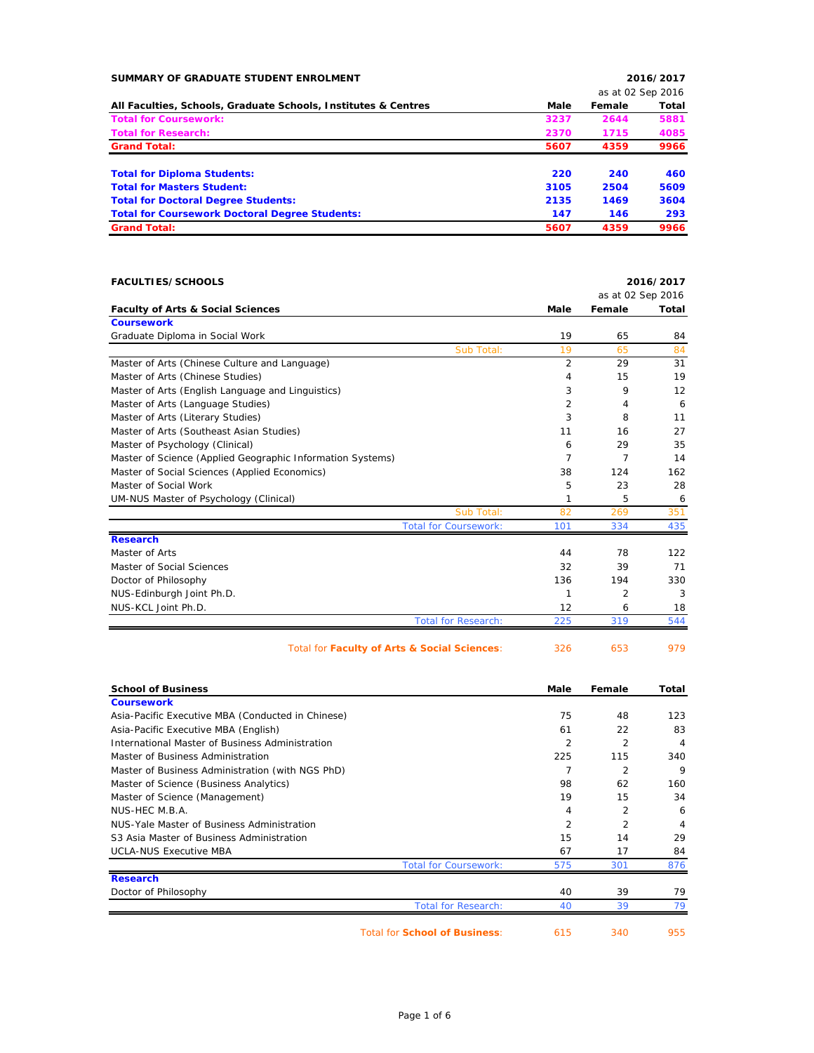| SUMMARY OF GRADUATE STUDENT ENROLMENT                          |      |                   | 2016/2017 |
|----------------------------------------------------------------|------|-------------------|-----------|
|                                                                |      | as at 02 Sep 2016 |           |
| All Faculties, Schools, Graduate Schools, Institutes & Centres | Male | Female            | Total     |
| <b>Total for Coursework:</b>                                   | 3237 | 2644              | 5881      |
| <b>Total for Research:</b>                                     | 2370 | 1715              | 4085      |
| <b>Grand Total:</b>                                            | 5607 | 4359              | 9966      |
| <b>Total for Diploma Students:</b>                             | 220  | 240               | 460       |
| <b>Total for Masters Student:</b>                              | 3105 | 2504              | 5609      |
| <b>Total for Doctoral Degree Students:</b>                     | 2135 | 1469              | 3604      |
| <b>Total for Coursework Doctoral Degree Students:</b>          | 147  | 146               | 293       |
| <b>Grand Total:</b>                                            | 5607 | 4359              | 9966      |

| <b>FACULTIES/SCHOOLS</b>                                   |                |                   | 2016/2017    |
|------------------------------------------------------------|----------------|-------------------|--------------|
|                                                            |                | as at 02 Sep 2016 |              |
| <b>Faculty of Arts &amp; Social Sciences</b>               | <b>Male</b>    | Female            | <b>Total</b> |
| <b>Coursework</b>                                          |                |                   |              |
| Graduate Diploma in Social Work                            | 19             | 65                | 84           |
| Sub Total:                                                 | 19             | 65                | 84           |
| Master of Arts (Chinese Culture and Language)              | 2              | 29                | 31           |
| Master of Arts (Chinese Studies)                           | 4              | 15                | 19           |
| Master of Arts (English Language and Linguistics)          | 3              | 9                 | 12           |
| Master of Arts (Language Studies)                          | $\overline{2}$ | 4                 | 6            |
| Master of Arts (Literary Studies)                          | 3              | 8                 | 11           |
| Master of Arts (Southeast Asian Studies)                   | 11             | 16                | 27           |
| Master of Psychology (Clinical)                            | 6              | 29                | 35           |
| Master of Science (Applied Geographic Information Systems) | 7              | 7                 | 14           |
| Master of Social Sciences (Applied Economics)              | 38             | 124               | 162          |
| Master of Social Work                                      | 5              | 23                | 28           |
| UM-NUS Master of Psychology (Clinical)                     | 1              | 5                 | 6            |
| Sub Total:                                                 | 82             | 269               | 351          |
| <b>Total for Coursework:</b>                               | 101            | 334               | 435          |
| <b>Research</b>                                            |                |                   |              |
| Master of Arts                                             | 44             | 78                | 122          |
| Master of Social Sciences                                  | 32             | 39                | 71           |
| Doctor of Philosophy                                       | 136            | 194               | 330          |
| NUS-Edinburgh Joint Ph.D.                                  | 1              | 2                 | 3            |
| NUS-KCL Joint Ph.D.                                        | 12             | 6                 | 18           |
| <b>Total for Research:</b>                                 | 225            | 319               | 544          |
| Total for Faculty of Arts & Social Sciences:               | 326            | 653               | 979          |

| <b>School of Business</b>                         | Male           | Female         | Total |
|---------------------------------------------------|----------------|----------------|-------|
| <b>Coursework</b>                                 |                |                |       |
| Asia-Pacific Executive MBA (Conducted in Chinese) | 75             | 48             | 123   |
| Asia-Pacific Executive MBA (English)              | 61             | 22             | 83    |
| International Master of Business Administration   | $\overline{2}$ | $\overline{2}$ | 4     |
| Master of Business Administration                 | 225            | 115            | 340   |
| Master of Business Administration (with NGS PhD)  |                | $\overline{2}$ | 9     |
| Master of Science (Business Analytics)            | 98             | 62             | 160   |
| Master of Science (Management)                    | 19             | 15             | 34    |
| NUS-HEC M.B.A.                                    | 4              | 2              | 6     |
| NUS-Yale Master of Business Administration        | 2              | $\overline{2}$ | 4     |
| S3 Asia Master of Business Administration         | 15             | 14             | 29    |
| <b>UCLA-NUS Executive MBA</b>                     | 67             | 17             | 84    |
| <b>Total for Coursework:</b>                      | 575            | 301            | 876   |
| <b>Research</b>                                   |                |                |       |
| Doctor of Philosophy                              | 40             | 39             | 79    |
| <b>Total for Research:</b>                        | 40             | 39             | 79    |
| <b>Total for School of Business:</b>              | 615            | 340            | 955   |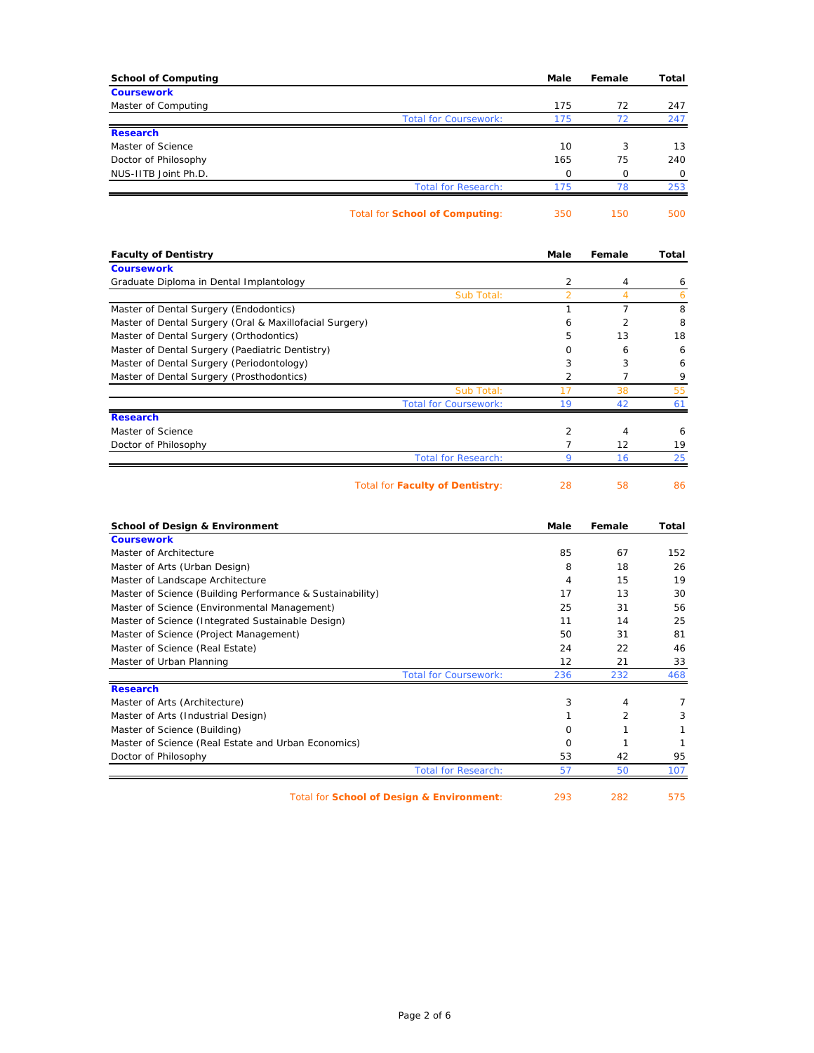| <b>School of Computing</b>                                | Male           | Female         | Total        |
|-----------------------------------------------------------|----------------|----------------|--------------|
| <b>Coursework</b>                                         |                |                |              |
| Master of Computing                                       | 175            | 72             | 247          |
| <b>Total for Coursework:</b>                              | 175            | 72             | 247          |
| <b>Research</b>                                           |                |                |              |
| Master of Science                                         | 10             | 3              | 13           |
| Doctor of Philosophy                                      | 165            | 75             | 240          |
| NUS-IITB Joint Ph.D.                                      | 0              | 0              | 0            |
| <b>Total for Research:</b>                                | 175            | 78             | 253          |
| Total for School of Computing:                            | 350            | 150            | 500          |
| <b>Faculty of Dentistry</b>                               | Male           | Female         | Total        |
| <b>Coursework</b>                                         |                |                |              |
| Graduate Diploma in Dental Implantology                   | 2              | 4              | 6            |
| Sub Total:                                                | $\overline{2}$ | $\overline{4}$ | 6            |
| Master of Dental Surgery (Endodontics)                    | $\mathbf{1}$   | 7              | 8            |
| Master of Dental Surgery (Oral & Maxillofacial Surgery)   | 6              | $\overline{2}$ | 8            |
| Master of Dental Surgery (Orthodontics)                   | 5              | 13             | 18           |
| Master of Dental Surgery (Paediatric Dentistry)           | 0              | 6              | 6            |
| Master of Dental Surgery (Periodontology)                 | 3              | 3              | 6            |
| Master of Dental Surgery (Prosthodontics)                 | 2              | 7              | 9            |
| Sub Total:                                                | 17             | 38             | 55           |
| <b>Total for Coursework:</b>                              | 19             | 42             | 61           |
| <b>Research</b>                                           |                |                |              |
| Master of Science                                         | 2              | 4              | 6            |
| Doctor of Philosophy                                      | 7              | 12             | 19           |
| <b>Total for Research:</b>                                | 9              | 16             | 25           |
| <b>Total for Faculty of Dentistry:</b>                    | 28             | 58             | 86           |
| <b>School of Design &amp; Environment</b>                 | Male           | Female         | Total        |
| <b>Coursework</b>                                         |                |                |              |
| Master of Architecture                                    | 85             | 67             | 152          |
| Master of Arts (Urban Design)                             | 8              | 18             | 26           |
| Master of Landscape Architecture                          | 4              | 15             | 19           |
| Master of Science (Building Performance & Sustainability) | 17             | 13             | 30           |
| Master of Science (Environmental Management)              | 25             | 31             | 56           |
| Master of Science (Integrated Sustainable Design)         | 11             | 14             | 25           |
| Master of Science (Project Management)                    | 50             | 31             | 81           |
| Master of Science (Real Estate)                           | 24             | 22             | 46           |
| Master of Urban Planning                                  | 12             | 21             | 33           |
| <b>Total for Coursework:</b>                              | 236            | 232            | 468          |
| <b>Research</b>                                           |                |                |              |
| Master of Arts (Architecture)                             | 3              | 4              | 7            |
| Master of Arts (Industrial Design)                        | 1              | 2              | 3            |
| Master of Science (Building)                              | 0              | 1              | $\mathbf{1}$ |
| Master of Science (Real Estate and Urban Economics)       | 0              | $\mathbf{1}$   | $\mathbf{1}$ |
| Doctor of Philosophy                                      | 53             | 42             | 95           |
| <b>Total for Research:</b>                                | 57             | 50             | 107          |
|                                                           |                |                |              |

Total for **School of Design & Environment**: 293 282 575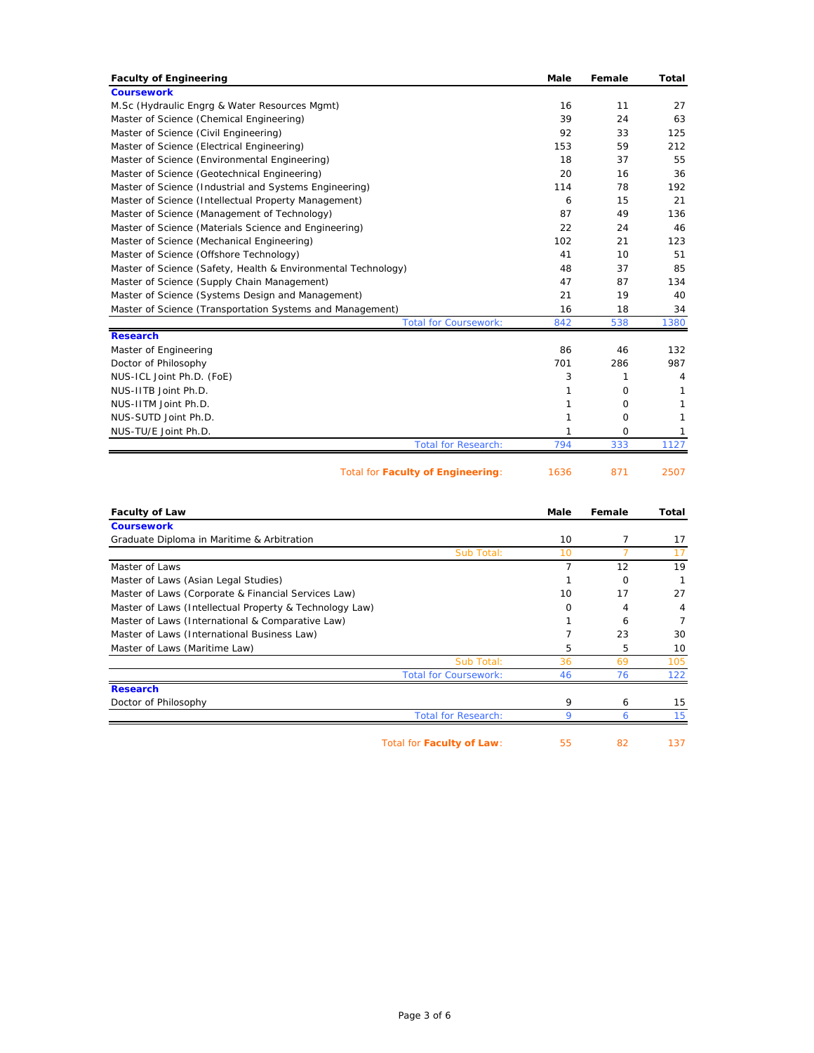| <b>Faculty of Engineering</b>                                 | <b>Male</b> | Female   | Total |
|---------------------------------------------------------------|-------------|----------|-------|
| <b>Coursework</b>                                             |             |          |       |
| M.Sc (Hydraulic Engrg & Water Resources Mgmt)                 | 16          | 11       | 27    |
| Master of Science (Chemical Engineering)                      | 39          | 24       | 63    |
| Master of Science (Civil Engineering)                         | 92          | 33       | 125   |
| Master of Science (Electrical Engineering)                    | 153         | 59       | 212   |
| Master of Science (Environmental Engineering)                 | 18          | 37       | 55    |
| Master of Science (Geotechnical Engineering)                  | 20          | 16       | 36    |
| Master of Science (Industrial and Systems Engineering)        | 114         | 78       | 192   |
| Master of Science (Intellectual Property Management)          | 6           | 15       | 21    |
| Master of Science (Management of Technology)                  | 87          | 49       | 136   |
| Master of Science (Materials Science and Engineering)         | 22          | 24       | 46    |
| Master of Science (Mechanical Engineering)                    | 102         | 21       | 123   |
| Master of Science (Offshore Technology)                       | 41          | 10       | 51    |
| Master of Science (Safety, Health & Environmental Technology) | 48          | 37       | 85    |
| Master of Science (Supply Chain Management)                   | 47          | 87       | 134   |
| Master of Science (Systems Design and Management)             | 21          | 19       | 40    |
| Master of Science (Transportation Systems and Management)     | 16          | 18       | 34    |
| <b>Total for Coursework:</b>                                  | 842         | 538      | 1380  |
| <b>Research</b>                                               |             |          |       |
| Master of Engineering                                         | 86          | 46       | 132   |
| Doctor of Philosophy                                          | 701         | 286      | 987   |
| NUS-ICL Joint Ph.D. (FoE)                                     | 3           | 1        | 4     |
| NUS-IITB Joint Ph.D.                                          | 1           | 0        | 1     |
| NUS-IITM Joint Ph.D.                                          | 1           | 0        | 1     |
| NUS-SUTD Joint Ph.D.                                          | 1           | $\Omega$ | 1     |
| NUS-TU/E Joint Ph.D.                                          | 1           | 0        | 1     |
| <b>Total for Research:</b>                                    | 794         | 333      | 1127  |
| Total for Faculty of Engineering:                             | 1636        | 871      | 2507  |
|                                                               |             |          |       |

| <b>Faculty of Law</b>                                   | Male     | Female   | Total |
|---------------------------------------------------------|----------|----------|-------|
| <b>Coursework</b>                                       |          |          |       |
| Graduate Diploma in Maritime & Arbitration              | 10       |          | 17    |
| Sub Total:                                              | 10       |          | 17    |
| Master of Laws                                          | 7        | 12       | 19    |
| Master of Laws (Asian Legal Studies)                    |          | $\Omega$ |       |
| Master of Laws (Corporate & Financial Services Law)     | 10       | 17       | 27    |
| Master of Laws (Intellectual Property & Technology Law) | $\Omega$ | 4        | 4     |
| Master of Laws (International & Comparative Law)        |          | 6        | 7     |
| Master of Laws (International Business Law)             | 7        | 23       | 30    |
| Master of Laws (Maritime Law)                           | 5        | 5        | 10    |
| Sub Total:                                              | 36       | 69       | 105   |
| <b>Total for Coursework:</b>                            | 46       | 76       | 122   |
| <b>Research</b>                                         |          |          |       |
| Doctor of Philosophy                                    | 9        | 6        | 15    |
| <b>Total for Research:</b>                              | 9        | 6        | 15    |
| Total for Faculty of Law:                               | 55       | 82       | 137   |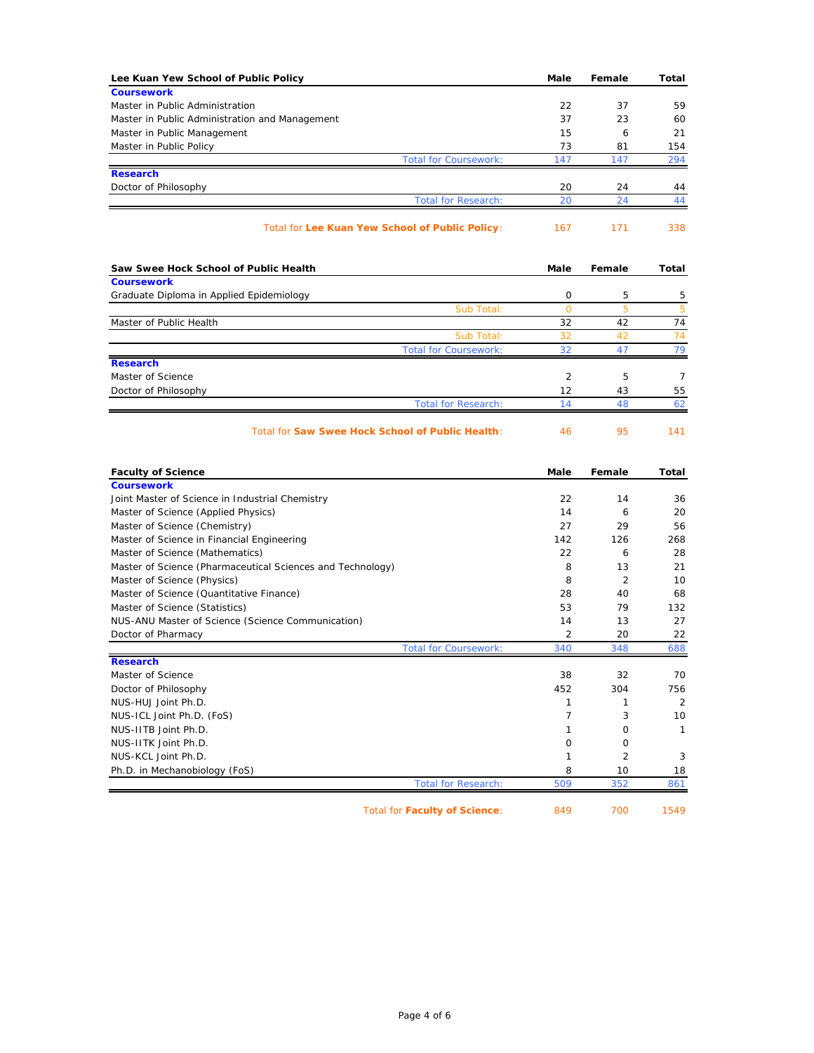| Lee Kuan Yew School of Public Policy                                    | Male           | Female   | Total    |
|-------------------------------------------------------------------------|----------------|----------|----------|
| <b>Coursework</b>                                                       |                |          |          |
| Master in Public Administration                                         | 22             | 37       | 59       |
| Master in Public Administration and Management                          | 37             | 23       | 60       |
| Master in Public Management                                             | 15             | 6        | 21       |
| Master in Public Policy                                                 | 73             | 81       | 154      |
| <b>Total for Coursework:</b>                                            | 147            | 147      | 294      |
| <b>Research</b>                                                         |                |          |          |
| Doctor of Philosophy                                                    | 20<br>20       | 24<br>24 | 44       |
| <b>Total for Research:</b>                                              |                |          | 44       |
| Total for Lee Kuan Yew School of Public Policy:                         | 167            | 171      | 338      |
| Saw Swee Hock School of Public Health                                   | Male           | Female   | Total    |
| <b>Coursework</b>                                                       |                |          |          |
| Graduate Diploma in Applied Epidemiology                                | 0              | 5        | 5        |
| Sub Total:                                                              | $\circ$        | 5        | 5        |
| Master of Public Health                                                 | 32             | 42       | 74       |
| Sub Total:                                                              | 32             | 42       | 74       |
| <b>Total for Coursework:</b>                                            | 32             | 47       | 79       |
| <b>Research</b><br>Master of Science                                    | 2              | 5        | 7        |
| Doctor of Philosophy                                                    | 12             | 43       | 55       |
| <b>Total for Research:</b>                                              | 14             | 48       | 62       |
| <b>Faculty of Science</b>                                               | Male           | Female   | Total    |
| <b>Coursework</b>                                                       |                |          |          |
| Joint Master of Science in Industrial Chemistry                         | 22             | 14       | 36       |
| Master of Science (Applied Physics)                                     | 14             | 6        | 20       |
| Master of Science (Chemistry)                                           | 27             | 29       | 56       |
| Master of Science in Financial Engineering                              | 142            | 126      | 268      |
| Master of Science (Mathematics)                                         | 22             | 6        | 28       |
| Master of Science (Pharmaceutical Sciences and Technology)              | 8<br>8         | 13       | 21       |
| Master of Science (Physics)<br>Master of Science (Quantitative Finance) | 28             | 2<br>40  | 10<br>68 |
| Master of Science (Statistics)                                          | 53             | 79       | 132      |
| NUS-ANU Master of Science (Science Communication)                       | 14             | 13       | 27       |
| Doctor of Pharmacy                                                      | 2              | 20       | 22       |
| <b>Total for Coursework:</b>                                            | 340            | 348      | 688      |
| <b>Research</b>                                                         |                |          |          |
| Master of Science                                                       | 38             | 32       | 70       |
| Doctor of Philosophy                                                    | 452            | 304      | 756      |
| NUS-HUJ Joint Ph.D.                                                     | 1              | 1        | 2        |
| NUS-ICL Joint Ph.D. (FoS)                                               | $\overline{7}$ | 3        | 10       |
| NUS-IITB Joint Ph.D.                                                    | 1              | 0        | 1        |
| NUS-IITK Joint Ph.D.                                                    | 0              | 0        |          |
| NUS-KCL Joint Ph.D.                                                     | 1              | 2        | 3        |
| Ph.D. in Mechanobiology (FoS)                                           | 8              | 10       | 18       |
| <b>Total for Research:</b>                                              | 509            | 352      | 861      |
|                                                                         |                |          |          |

Total for **Faculty of Science**: 849 700 1549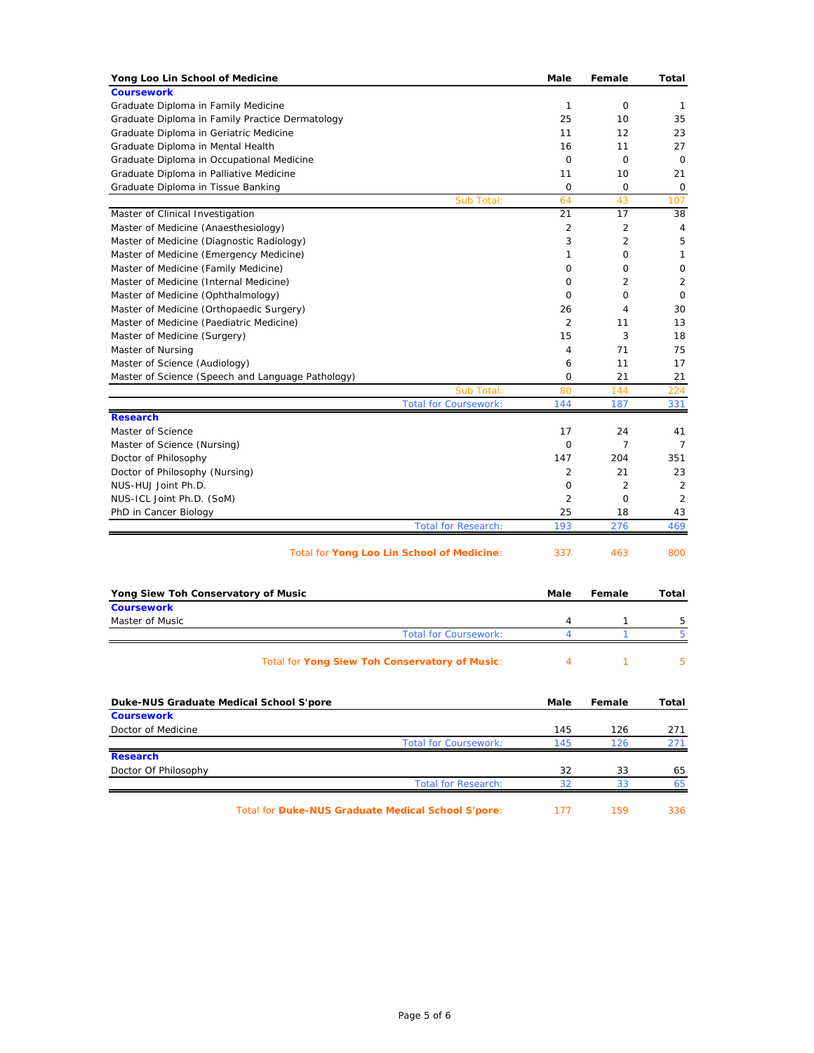| Yong Loo Lin School of Medicine                    | Male           | Female         | Total |
|----------------------------------------------------|----------------|----------------|-------|
| <b>Coursework</b>                                  |                |                |       |
| Graduate Diploma in Family Medicine                | $\mathbf{1}$   | 0              | 1     |
| Graduate Diploma in Family Practice Dermatology    | 25             | 10             | 35    |
| Graduate Diploma in Geriatric Medicine             | 11             | 12             | 23    |
| Graduate Diploma in Mental Health                  | 16             | 11             | 27    |
| Graduate Diploma in Occupational Medicine          | $\mathbf 0$    | 0              | 0     |
| Graduate Diploma in Palliative Medicine            | 11             | 10             | 21    |
| Graduate Diploma in Tissue Banking                 | 0              | 0              | 0     |
| Sub Total:                                         | 64             | 43             | 107   |
| Master of Clinical Investigation                   | 21             | 17             | 38    |
| Master of Medicine (Anaesthesiology)               | 2              | 2              | 4     |
| Master of Medicine (Diagnostic Radiology)          | 3              | 2              | 5     |
| Master of Medicine (Emergency Medicine)            | 1              | 0              | 1     |
| Master of Medicine (Family Medicine)               | 0              | 0              | 0     |
| Master of Medicine (Internal Medicine)             | 0              | 2              | 2     |
| Master of Medicine (Ophthalmology)                 | 0              | 0              | 0     |
| Master of Medicine (Orthopaedic Surgery)           | 26             | 4              | 30    |
| Master of Medicine (Paediatric Medicine)           | $\overline{2}$ | 11             | 13    |
| Master of Medicine (Surgery)                       | 15             | 3              | 18    |
| Master of Nursing                                  | 4              | 71             | 75    |
| Master of Science (Audiology)                      | 6              | 11             | 17    |
| Master of Science (Speech and Language Pathology)  | 0              | 21             | 21    |
| Sub Total:                                         | 80             | 144            | 224   |
| <b>Total for Coursework:</b>                       | 144            | 187            | 331   |
| <b>Research</b>                                    |                |                |       |
| Master of Science                                  | 17             | 24             | 41    |
| Master of Science (Nursing)                        | 0              | 7              | 7     |
| Doctor of Philosophy                               | 147            | 204            | 351   |
| Doctor of Philosophy (Nursing)                     | 2              | 21             | 23    |
| NUS-HUJ Joint Ph.D.                                | 0              | $\overline{2}$ | 2     |
| NUS-ICL Joint Ph.D. (SoM)                          | 2              | $\mathbf 0$    | 2     |
| PhD in Cancer Biology                              | 25             | 18             | 43    |
| <b>Total for Research:</b>                         | 193            | 276            | 469   |
| Total for Yong Loo Lin School of Medicine:         | 337            | 463            | 800   |
| Yong Siew Toh Conservatory of Music                | Male           | Female         | Total |
| <b>Coursework</b>                                  |                |                |       |
| Master of Music                                    | 4              | 1              | 5     |
| <b>Total for Coursework:</b>                       | 4              | 1              | 5     |
| Total for Yong Siew Toh Conservatory of Music:     | 4              | 1              | 5     |
| Duke-NUS Graduate Medical School S'pore            | Male           | Female         | Total |
| <b>Coursework</b>                                  |                |                |       |
| Doctor of Medicine                                 | 145            | 126            | 271   |
| <b>Total for Coursework:</b>                       | 145            | 126            | 271   |
| <b>Research</b>                                    |                |                |       |
| Doctor Of Philosophy                               | 32             | 33             | 65    |
| <b>Total for Research:</b>                         | 32             | 33             | 65    |
| Total for Duke-NUS Graduate Medical School S'pore: | 177            | 159            | 336   |